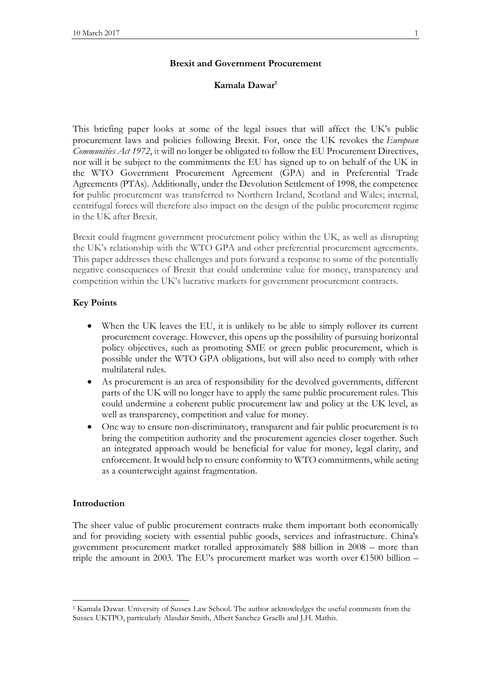### **Brexit and Government Procurement**

# **Kamala Dawar<sup>1</sup>**

This briefing paper looks at some of the legal issues that will affect the UK's public procurement laws and policies following Brexit. For, once the UK revokes the *European Communities Act 1972*, it will no longer be obligated to follow the EU Procurement Directives, nor will it be subject to the commitments the EU has signed up to on behalf of the UK in the WTO Government Procurement Agreement (GPA) and in Preferential Trade Agreements (PTAs). Additionally, under the Devolution Settlement of 1998, the competence for public procurement was transferred to Northern Ireland, Scotland and Wales; internal, centrifugal forces will therefore also impact on the design of the public procurement regime in the UK after Brexit.

Brexit could fragment government procurement policy within the UK, as well as disrupting the UK's relationship with the WTO GPA and other preferential procurement agreements. This paper addresses these challenges and puts forward a response to some of the potentially negative consequences of Brexit that could undermine value for money, transparency and competition within the UK's lucrative markets for government procurement contracts.

# **Key Points**

- When the UK leaves the EU, it is unlikely to be able to simply rollover its current procurement coverage. However, this opens up the possibility of pursuing horizontal policy objectives, such as promoting SME or green public procurement, which is possible under the WTO GPA obligations, but will also need to comply with other multilateral rules.
- As procurement is an area of responsibility for the devolved governments, different parts of the UK will no longer have to apply the same public procurement rules. This could undermine a coherent public procurement law and policy at the UK level, as well as transparency, competition and value for money.
- One way to ensure non-discriminatory, transparent and fair public procurement is to bring the competition authority and the procurement agencies closer together. Such an integrated approach would be beneficial for value for money, legal clarity, and enforcement. It would help to ensure conformity to WTO commitments, while acting as a counterweight against fragmentation.

### **Introduction**

 $\overline{a}$ 

The sheer value of public procurement contracts make them important both economically and for providing society with essential public goods, services and infrastructure. China's government procurement market totalled approximately \$88 billion in 2008 – more than triple the amount in 2003. The EU's procurement market was worth over  $\epsilon$ 1500 billion –

<sup>1</sup> Kamala Dawar. University of Sussex Law School. The author acknowledges the useful comments from the Sussex UKTPO, particularly Alasdair Smith, Albert Sanchez Graells and J.H. Mathis.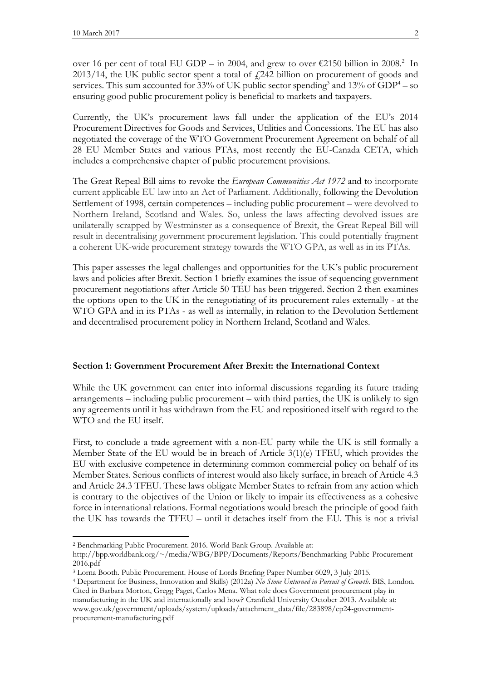over 16 per cent of total EU GDP – in 2004, and grew to over  $\epsilon$ 2150 billion in 2008.<sup>2</sup> In  $2013/14$ , the UK public sector spent a total of  $\text{\emph{L}}242$  billion on procurement of goods and services. This sum accounted for 33% of UK public sector spending<sup>3</sup> and 13% of GDP<sup>4</sup> – so ensuring good public procurement policy is beneficial to markets and taxpayers.

Currently, the UK's procurement laws fall under the application of the EU's 2014 Procurement Directives for Goods and Services, Utilities and Concessions. The EU has also negotiated the coverage of the WTO Government Procurement Agreement on behalf of all 28 EU Member States and various PTAs, most recently the EU-Canada CETA, which includes a comprehensive chapter of public procurement provisions.

The Great Repeal Bill aims to revoke the *European Communities Act 1972* and to incorporate current applicable EU law into an Act of Parliament. Additionally, following the Devolution Settlement of 1998, certain competences – including public procurement – were devolved to Northern Ireland, Scotland and Wales. So, unless the laws affecting devolved issues are unilaterally scrapped by Westminster as a consequence of Brexit, the Great Repeal Bill will result in decentralising government procurement legislation. This could potentially fragment a coherent UK-wide procurement strategy towards the WTO GPA, as well as in its PTAs.

This paper assesses the legal challenges and opportunities for the UK's public procurement laws and policies after Brexit. Section 1 briefly examines the issue of sequencing government procurement negotiations after Article 50 TEU has been triggered. Section 2 then examines the options open to the UK in the renegotiating of its procurement rules externally - at the WTO GPA and in its PTAs - as well as internally, in relation to the Devolution Settlement and decentralised procurement policy in Northern Ireland, Scotland and Wales.

### **Section 1: Government Procurement After Brexit: the International Context**

While the UK government can enter into informal discussions regarding its future trading arrangements – including public procurement – with third parties, the UK is unlikely to sign any agreements until it has withdrawn from the EU and repositioned itself with regard to the WTO and the EU itself.

First, to conclude a trade agreement with a non-EU party while the UK is still formally a Member State of the EU would be in breach of Article 3(1)(e) TFEU, which provides the EU with exclusive competence in determining common commercial policy on behalf of its Member States. Serious conflicts of interest would also likely surface, in breach of Article 4.3 and Article 24.3 TFEU. These laws obligate Member States to refrain from any action which is contrary to the objectives of the Union or likely to impair its effectiveness as a cohesive force in international relations. Formal negotiations would breach the principle of good faith the UK has towards the TFEU – until it detaches itself from the EU. This is not a trivial

 $\overline{a}$ 

<sup>2</sup> Benchmarking Public Procurement. 2016. World Bank Group. Available at:

http://bpp.worldbank.org/~/media/WBG/BPP/Documents/Reports/Benchmarking-Public-Procurement-2016.pdf

<sup>3</sup> Lorna Booth. Public Procurement. House of Lords Briefing Paper Number 6029, 3 July 2015.

<sup>4</sup> Department for Business, Innovation and Skills) (2012a) *No Stone Unturned in Pursuit of Growth*. BIS, London. Cited in Barbara Morton, Gregg Paget, Carlos Mena. What role does Government procurement play in manufacturing in the UK and internationally and how? Cranfield University October 2013. Available at: www.gov.uk/government/uploads/system/uploads/attachment\_data/file/283898/ep24-governmentprocurement-manufacturing.pdf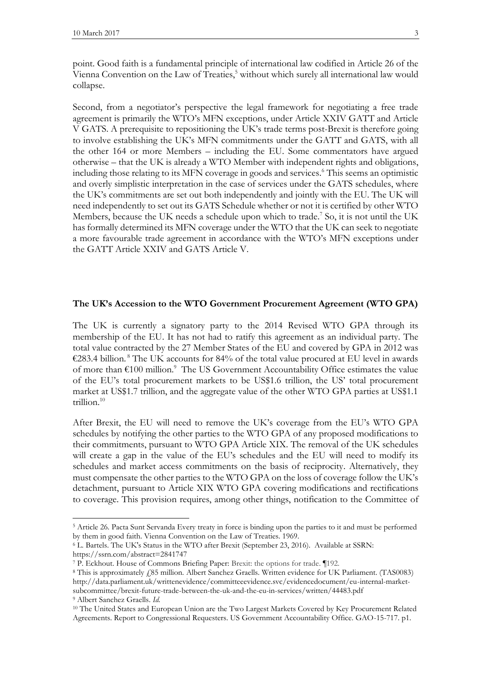$\overline{a}$ 

point. Good faith is a fundamental principle of international law codified in Article 26 of the Vienna Convention on the Law of Treaties,<sup>5</sup> without which surely all international law would collapse.

Second, from a negotiator's perspective the legal framework for negotiating a free trade agreement is primarily the WTO's MFN exceptions, under Article XXIV GATT and Article V GATS. A prerequisite to repositioning the UK's trade terms post-Brexit is therefore going to involve establishing the UK's MFN commitments under the GATT and GATS, with all the other 164 or more Members – including the EU. Some commentators have argued otherwise – that the UK is already a WTO Member with independent rights and obligations, including those relating to its MFN coverage in goods and services. <sup>6</sup> This seems an optimistic and overly simplistic interpretation in the case of services under the GATS schedules, where the UK's commitments are set out both independently and jointly with the EU. The UK will need independently to set out its GATS Schedule whether or not it is certified by other WTO Members, because the UK needs a schedule upon which to trade.<sup>7</sup> So, it is not until the UK has formally determined its MFN coverage under the WTO that the UK can seek to negotiate a more favourable trade agreement in accordance with the WTO's MFN exceptions under the GATT Article XXIV and GATS Article V.

## **The UK's Accession to the WTO Government Procurement Agreement (WTO GPA)**

The UK is currently a signatory party to the 2014 Revised WTO GPA through its membership of the EU. It has not had to ratify this agreement as an individual party. The total value contracted by the 27 Member States of the EU and covered by GPA in 2012 was €283.4 billion.<sup>8</sup> The UK accounts for 84% of the total value procured at EU level in awards of more than  $\text{\textsterling}100$  million.<sup>9</sup> The US Government Accountability Office estimates the value of the EU's total procurement markets to be US\$1.6 trillion, the US' total procurement market at US\$1.7 trillion, and the aggregate value of the other WTO GPA parties at US\$1.1 trillion.<sup>10</sup>

After Brexit, the EU will need to remove the UK's coverage from the EU's WTO GPA schedules by notifying the other parties to the WTO GPA of any proposed modifications to their commitments, pursuant to WTO GPA Article XIX. The removal of the UK schedules will create a gap in the value of the EU's schedules and the EU will need to modify its schedules and market access commitments on the basis of reciprocity. Alternatively, they must compensate the other parties to the WTO GPA on the loss of coverage follow the UK's detachment, pursuant to Article XIX WTO GPA covering modifications and rectifications to coverage. This provision requires, among other things, notification to the Committee of

<sup>5</sup> Article 26. Pacta Sunt Servanda Every treaty in force is binding upon the parties to it and must be performed by them in good faith. Vienna Convention on the Law of Treaties. 1969.

<sup>6</sup> L. Bartels. The UK's Status in the WTO after Brexit (September 23, 2016). Available at SSRN: https://ssrn.com/abstract=2841747

<sup>7</sup> P. Eckhout. House of Commons Briefing Paper: Brexit: the options for trade. ¶192.

<sup>8</sup> This is approximately £85 million. Albert Sanchez Graells. Written evidence for UK Parliament. (TAS0083) http://data.parliament.uk/writtenevidence/committeeevidence.svc/evidencedocument/eu-internal-marketsubcommittee/brexit-future-trade-between-the-uk-and-the-eu-in-services/written/44483.pdf <sup>9</sup> Albert Sanchez Graells. *Id.*

<sup>&</sup>lt;sup>10</sup> The United States and European Union are the Two Largest Markets Covered by Key Procurement Related Agreements. Report to Congressional Requesters. US Government Accountability Office. GAO-15-717. p1.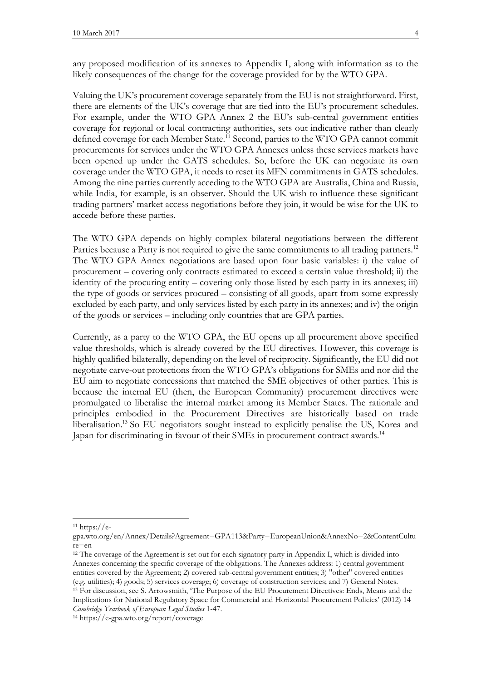any proposed modification of its annexes to Appendix I, along with information as to the likely consequences of the change for the coverage provided for by the WTO GPA.

Valuing the UK's procurement coverage separately from the EU is not straightforward. First, there are elements of the UK's coverage that are tied into the EU's procurement schedules. For example, under the WTO GPA Annex 2 the EU's sub-central government entities coverage for regional or local contracting authorities, sets out indicative rather than clearly defined coverage for each Member State.<sup>11</sup> Second, parties to the WTO GPA cannot commit procurements for services under the WTO GPA Annexes unless these services markets have been opened up under the GATS schedules. So, before the UK can negotiate its own coverage under the WTO GPA, it needs to reset its MFN commitments in GATS schedules. Among the nine parties currently acceding to the WTO GPA are Australia, China and Russia, while India, for example, is an observer. Should the UK wish to influence these significant trading partners' market access negotiations before they join, it would be wise for the UK to accede before these parties.

The WTO GPA depends on highly complex bilateral negotiations between the different Parties because a Party is not required to give the same commitments to all trading partners.<sup>12</sup> The WTO GPA Annex negotiations are based upon four basic variables: i) the value of procurement – covering only contracts estimated to exceed a certain value threshold; ii) the identity of the procuring entity – covering only those listed by each party in its annexes; iii) the type of goods or services procured – consisting of all goods, apart from some expressly excluded by each party, and only services listed by each party in its annexes; and iv) the origin of the goods or services – including only countries that are GPA parties.

Currently, as a party to the WTO GPA, the EU opens up all procurement above specified value thresholds, which is already covered by the EU directives. However, this coverage is highly qualified bilaterally, depending on the level of reciprocity. Significantly, the EU did not negotiate carve-out protections from the WTO GPA's obligations for SMEs and nor did the EU aim to negotiate concessions that matched the SME objectives of other parties. This is because the internal EU (then, the European Community) procurement directives were promulgated to liberalise the internal market among its Member States. The rationale and principles embodied in the Procurement Directives are historically based on trade liberalisation.<sup>13</sup> So EU negotiators sought instead to explicitly penalise the US, Korea and Japan for discriminating in favour of their SMEs in procurement contract awards.<sup>14</sup>

 $\overline{a}$ 

Implications for National Regulatory Space for Commercial and Horizontal Procurement Policies' (2012) 14 *Cambridge Yearbook of European Legal Studies* 1-47.

 $11 \text{ https://e-}$ 

gpa.wto.org/en/Annex/Details?Agreement=GPA113&Party=EuropeanUnion&AnnexNo=2&ContentCultu re=en

<sup>&</sup>lt;sup>12</sup> The coverage of the Agreement is set out for each signatory party in Appendix I, which is divided into Annexes concerning the specific coverage of the obligations. The Annexes address: 1) central government entities covered by the Agreement; 2) covered sub-central government entities; 3) "other" covered entities (e.g. utilities); 4) goods; 5) services coverage; 6) coverage of construction services; and 7) General Notes. <sup>13</sup> For discussion, see S. Arrowsmith, 'The Purpose of the EU Procurement Directives: Ends, Means and the

<sup>14</sup> https://e-gpa.wto.org/report/coverage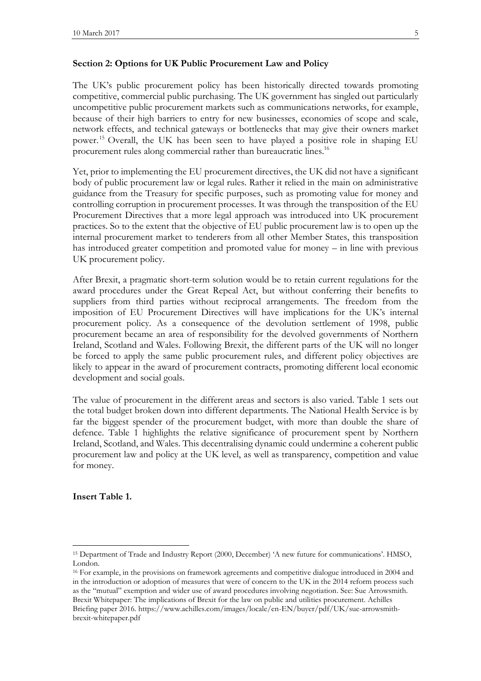# **Section 2: Options for UK Public Procurement Law and Policy**

The UK's public procurement policy has been historically directed towards promoting competitive, commercial public purchasing. The UK government has singled out particularly uncompetitive public procurement markets such as communications networks, for example, because of their high barriers to entry for new businesses, economies of scope and scale, network effects, and technical gateways or bottlenecks that may give their owners market power. <sup>15</sup> Overall, the UK has been seen to have played a positive role in shaping EU procurement rules along commercial rather than bureaucratic lines.<sup>16</sup>

Yet, prior to implementing the EU procurement directives, the UK did not have a significant body of public procurement law or legal rules. Rather it relied in the main on administrative guidance from the Treasury for specific purposes, such as promoting value for money and controlling corruption in procurement processes. It was through the transposition of the EU Procurement Directives that a more legal approach was introduced into UK procurement practices. So to the extent that the objective of EU public procurement law is to open up the internal procurement market to tenderers from all other Member States, this transposition has introduced greater competition and promoted value for money – in line with previous UK procurement policy.

After Brexit, a pragmatic short-term solution would be to retain current regulations for the award procedures under the Great Repeal Act, but without conferring their benefits to suppliers from third parties without reciprocal arrangements. The freedom from the imposition of EU Procurement Directives will have implications for the UK's internal procurement policy. As a consequence of the devolution settlement of 1998, public procurement became an area of responsibility for the devolved governments of Northern Ireland, Scotland and Wales. Following Brexit, the different parts of the UK will no longer be forced to apply the same public procurement rules, and different policy objectives are likely to appear in the award of procurement contracts, promoting different local economic development and social goals.

The value of procurement in the different areas and sectors is also varied. Table 1 sets out the total budget broken down into different departments. The National Health Service is by far the biggest spender of the procurement budget, with more than double the share of defence. Table 1 highlights the relative significance of procurement spent by Northern Ireland, Scotland, and Wales. This decentralising dynamic could undermine a coherent public procurement law and policy at the UK level, as well as transparency, competition and value for money.

**Insert Table 1.**

 $\overline{\phantom{a}}$ 

<sup>15</sup> Department of Trade and Industry Report (2000, December) 'A new future for communications'. HMSO, London.

<sup>&</sup>lt;sup>16</sup> For example, in the provisions on framework agreements and competitive dialogue introduced in 2004 and in the introduction or adoption of measures that were of concern to the UK in the 2014 reform process such as the "mutual" exemption and wider use of award procedures involving negotiation. See: Sue Arrowsmith. Brexit Whitepaper: The implications of Brexit for the law on public and utilities procurement. Achilles Briefing paper 2016. https://www.achilles.com/images/locale/en-EN/buyer/pdf/UK/sue-arrowsmithbrexit-whitepaper.pdf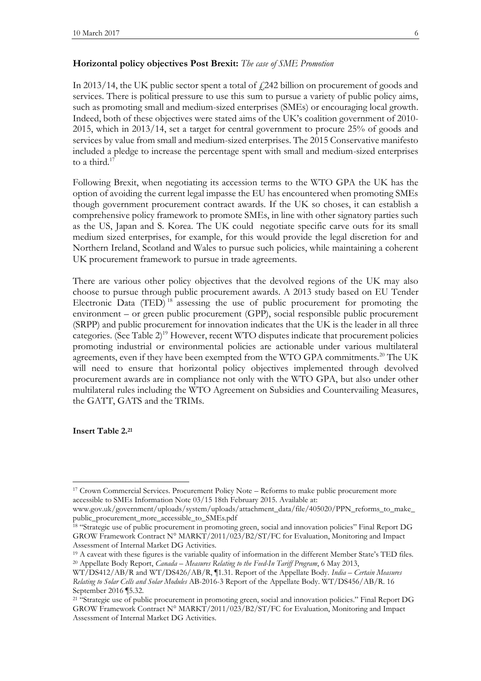#### **Horizontal policy objectives Post Brexit:** *The case of SME Promotion*

In 2013/14, the UK public sector spent a total of  $f$  242 billion on procurement of goods and services. There is political pressure to use this sum to pursue a variety of public policy aims, such as promoting small and medium-sized enterprises (SMEs) or encouraging local growth. Indeed, both of these objectives were stated aims of the UK's coalition government of 2010- 2015, which in 2013/14, set a target for central government to procure 25% of goods and services by value from small and medium-sized enterprises. The 2015 Conservative manifesto included a pledge to increase the percentage spent with small and medium-sized enterprises to a third. $17$ 

Following Brexit, when negotiating its accession terms to the WTO GPA the UK has the option of avoiding the current legal impasse the EU has encountered when promoting SMEs though government procurement contract awards. If the UK so choses, it can establish a comprehensive policy framework to promote SMEs, in line with other signatory parties such as the US, Japan and S. Korea. The UK could negotiate specific carve outs for its small medium sized enterprises, for example, for this would provide the legal discretion for and Northern Ireland, Scotland and Wales to pursue such policies, while maintaining a coherent UK procurement framework to pursue in trade agreements.

There are various other policy objectives that the devolved regions of the UK may also choose to pursue through public procurement awards. A 2013 study based on EU Tender Electronic Data (TED)<sup>18</sup> assessing the use of public procurement for promoting the environment – or green public procurement (GPP), social responsible public procurement (SRPP) and public procurement for innovation indicates that the UK is the leader in all three categories. (See Table 2)<sup>19</sup> However, recent WTO disputes indicate that procurement policies promoting industrial or environmental policies are actionable under various multilateral agreements, even if they have been exempted from the WTO GPA commitments.<sup>20</sup> The UK will need to ensure that horizontal policy objectives implemented through devolved procurement awards are in compliance not only with the WTO GPA, but also under other multilateral rules including the WTO Agreement on Subsidies and Countervailing Measures, the GATT, GATS and the TRIMs.

**Insert Table 2. 21**

 $\overline{\phantom{a}}$ 

<sup>&</sup>lt;sup>17</sup> Crown Commercial Services. Procurement Policy Note – Reforms to make public procurement more accessible to SMEs Information Note 03/15 18th February 2015. Available at:

www.gov.uk/government/uploads/system/uploads/attachment\_data/file/405020/PPN\_reforms\_to\_make\_ public\_procurement\_more\_accessible\_to\_SMEs.pdf

<sup>&</sup>lt;sup>18</sup> "Strategic use of public procurement in promoting green, social and innovation policies" Final Report DG GROW Framework Contract N° MARKT/2011/023/B2/ST/FC for Evaluation, Monitoring and Impact Assessment of Internal Market DG Activities.

<sup>&</sup>lt;sup>19</sup> A caveat with these figures is the variable quality of information in the different Member State's TED files. <sup>20</sup> Appellate Body Report, *Canada – Measures Relating to the Feed-In Tariff Program*, 6 May 2013,

WT/DS412/AB/R and WT/DS426/AB/R, ¶1.31. Report of the Appellate Body. *India – Certain Measures Relating to Solar Cells and Solar Modules* AB-2016-3 Report of the Appellate Body. WT/DS456/AB/R. 16 September 2016 ¶5.32.

<sup>21</sup> "Strategic use of public procurement in promoting green, social and innovation policies." Final Report DG GROW Framework Contract N° MARKT/2011/023/B2/ST/FC for Evaluation, Monitoring and Impact Assessment of Internal Market DG Activities.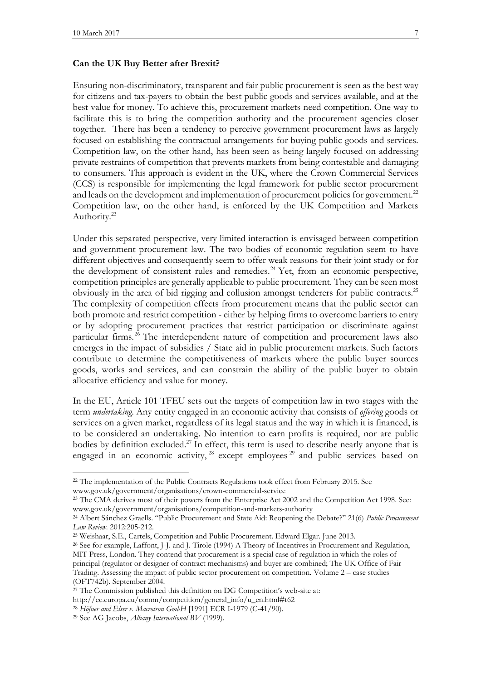#### **Can the UK Buy Better after Brexit?**

Ensuring non-discriminatory, transparent and fair public procurement is seen as the best way for citizens and tax-payers to obtain the best public goods and services available, and at the best value for money. To achieve this, procurement markets need competition. One way to facilitate this is to bring the competition authority and the procurement agencies closer together. There has been a tendency to perceive government procurement laws as largely focused on establishing the contractual arrangements for buying public goods and services. Competition law, on the other hand, has been seen as being largely focused on addressing private restraints of competition that prevents markets from being contestable and damaging to consumers. This approach is evident in the UK, where the Crown Commercial Services (CCS) is responsible for implementing the legal framework for public sector procurement and leads on the development and implementation of procurement policies for government.<sup>22</sup> Competition law, on the other hand, is enforced by the UK Competition and Markets Authority.<sup>23</sup>

Under this separated perspective, very limited interaction is envisaged between competition and government procurement law. The two bodies of economic regulation seem to have different objectives and consequently seem to offer weak reasons for their joint study or for the development of consistent rules and remedies.<sup>24</sup> Yet, from an economic perspective, competition principles are generally applicable to public procurement. They can be seen most obviously in the area of bid rigging and collusion amongst tenderers for public contracts.<sup>25</sup> The complexity of competition effects from procurement means that the public sector can both promote and restrict competition - either by helping firms to overcome barriers to entry or by adopting procurement practices that restrict participation or discriminate against particular firms.<sup>26</sup> The interdependent nature of competition and procurement laws also emerges in the impact of subsidies / State aid in public procurement markets. Such factors contribute to determine the competitiveness of markets where the public buyer sources goods, works and services, and can constrain the ability of the public buyer to obtain allocative efficiency and value for money.

In the EU, Article 101 TFEU sets out the targets of competition law in two stages with the term *undertaking*. Any entity engaged in an economic activity that consists of *offering* goods or services on a given market, regardless of its legal status and the way in which it is financed, is to be considered an undertaking. No intention to earn profits is required, nor are public bodies by definition excluded.<sup>27</sup> In effect, this term is used to describe nearly anyone that is engaged in an economic activity,  $28$  except employees  $29$  and public services based on

 $\overline{a}$ 

<sup>&</sup>lt;sup>22</sup> The implementation of the Public Contracts Regulations took effect from February 2015. See www.gov.uk/government/organisations/crown-commercial-service

<sup>&</sup>lt;sup>23</sup> The CMA derives most of their powers from the Enterprise Act 2002 and the Competition Act 1998. See: www.gov.uk/government/organisations/competition-and-markets-authority

<sup>24</sup> Albert Sánchez Graells. "Public Procurement and State Aid: Reopening the Debate?" 21(6) *Public Procurement Law Review*. 2012:205-212.

<sup>25</sup> Weishaar, S.E., Cartels, Competition and Public Procurement. Edward Elgar. June 2013.

<sup>26</sup> See for example, Laffont, J-J. and J. Tirole (1994) A Theory of Incentives in Procurement and Regulation, MIT Press, London. They contend that procurement is a special case of regulation in which the roles of principal (regulator or designer of contract mechanisms) and buyer are combined; The UK Office of Fair Trading. Assessing the impact of public sector procurement on competition. Volume 2 – case studies (OFT742b). September 2004.

<sup>&</sup>lt;sup>27</sup> The Commission published this definition on DG Competition's web-site at:

http://ec.europa.eu/comm/competition/general\_info/u\_en.html#t62

<sup>28</sup> *Höfner and Elser v. Macrotron GmbH* [1991] ECR I-1979 [\(C-41/90\)](http://eur-lex.europa.eu/LexUriServ/LexUriServ.do?uri=CELEX:61990J0041:EN:NOT).

<sup>29</sup> See AG Jacobs, *Albany International BV* (1999).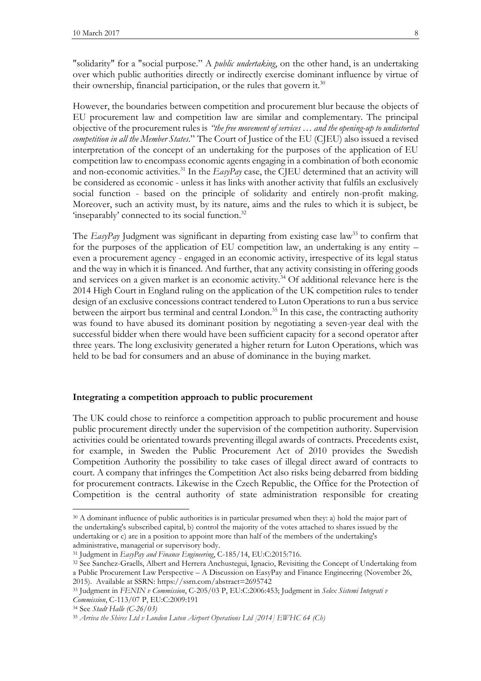"solidarity" for a "social purpose." A *public undertaking*, on the other hand, is an undertaking over which public authorities directly or indirectly exercise dominant influence by virtue of their ownership, financial participation, or the rules that govern it.<sup>30</sup>

However, the boundaries between competition and procurement blur because the objects of EU procurement law and competition law are similar and complementary. The principal objective of the procurement rules is *"the free movement of services … and the opening-up to undistorted competition in all the Member States*." The Court of Justice of the EU (CJEU) also issued a revised interpretation of the concept of an undertaking for the purposes of the application of EU competition law to encompass economic agents engaging in a combination of both economic and non-economic activities.<sup>31</sup> In the  $EasyPay$  case, the CJEU determined that an activity will be considered as economic - unless it has links with another activity that fulfils an exclusively social function - based on the principle of solidarity and entirely non-profit making. Moreover, such an activity must, by its nature, aims and the rules to which it is subject, be 'inseparably' connected to its social function.<sup>32</sup>

The *EasyPay* Judgment was significant in departing from existing case law<sup>33</sup> to confirm that for the purposes of the application of EU competition law, an undertaking is any entity – even a procurement agency - engaged in an economic activity, irrespective of its legal status and the way in which it is financed. And further, that any activity consisting in offering goods and services on a given market is an economic activity.<sup>34</sup> Of additional relevance here is the 2014 High Court in England ruling on the application of the UK competition rules to tender design of an exclusive concessions contract tendered to Luton Operations to run a bus service between the airport bus terminal and central London.<sup>35</sup> In this case, the contracting authority was found to have abused its dominant position by negotiating a seven-year deal with the successful bidder when there would have been sufficient capacity for a second operator after three years. The long exclusivity generated a higher return for Luton Operations, which was held to be bad for consumers and an abuse of dominance in the buying market.

# **Integrating a competition approach to public procurement**

The UK could chose to reinforce a competition approach to public procurement and house public procurement directly under the supervision of the competition authority. Supervision activities could be orientated towards preventing illegal awards of contracts. Precedents exist, for example, in Sweden the Public Procurement Act of 2010 provides the Swedish Competition Authority the possibility to take cases of illegal direct award of contracts to court. A company that infringes the Competition Act also risks being debarred from bidding for procurement contracts. Likewise in the Czech Republic, the Office for the Protection of Competition is the central authority of state administration responsible for creating

 $\overline{\phantom{a}}$ 

<sup>30</sup> A dominant influence of public authorities is in particular presumed when they: a) hold the major part of the undertaking's subscribed capital, b) control the majority of the votes attached to shares issued by the undertaking or c) are in a position to appoint more than half of the members of the undertaking's administrative, managerial or supervisory body.

<sup>31</sup> Judgment in *EasyPay and Finance Engineering*, C-185/14, EU:C:2015:716.

<sup>32</sup> See Sanchez-Graells, Albert and Herrera Anchustegui, Ignacio, Revisiting the Concept of Undertaking from a Public Procurement Law Perspective – A Discussion on EasyPay and Finance Engineering (November 26, 2015). Available at SSRN: https://ssrn.com/abstract=2695742

<sup>33</sup> Judgment in *FENIN v Commission*, C-205/03 P, EU:C:2006:453; Judgment in *Selex Sistemi Integrati v Commission*, C-113/07 P, EU:C:2009:191

<sup>34</sup> See *[Stadt Halle \(C-26/03\)](http://uk.practicallaw.com/1-200-0979)*

<sup>35</sup> *Arriva the Shires Ltd v London Luton Airport Operations Ltd [2014] EWHC 64 (Ch)*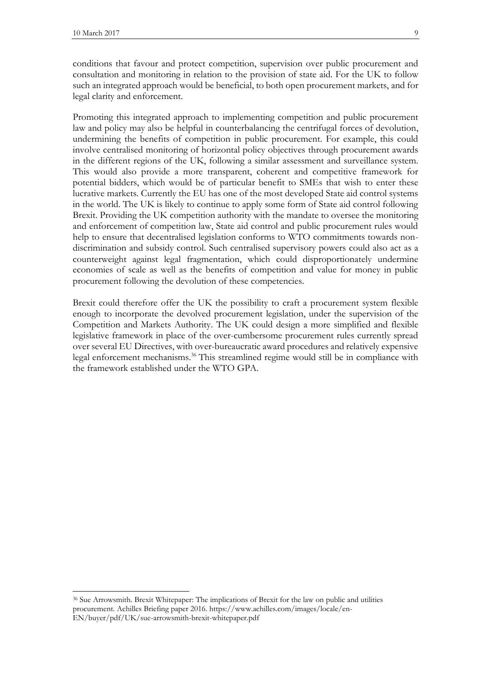$\overline{\phantom{a}}$ 

conditions that favour and protect competition, supervision over public procurement and consultation and monitoring in relation to the provision of state aid. For the UK to follow such an integrated approach would be beneficial, to both open procurement markets, and for legal clarity and enforcement.

Promoting this integrated approach to implementing competition and public procurement law and policy may also be helpful in counterbalancing the centrifugal forces of devolution, undermining the benefits of competition in public procurement. For example, this could involve centralised monitoring of horizontal policy objectives through procurement awards in the different regions of the UK, following a similar assessment and surveillance system. This would also provide a more transparent, coherent and competitive framework for potential bidders, which would be of particular benefit to SMEs that wish to enter these lucrative markets. Currently the EU has one of the most developed State aid control systems in the world. The UK is likely to continue to apply some form of State aid control following Brexit. Providing the UK competition authority with the mandate to oversee the monitoring and enforcement of competition law, State aid control and public procurement rules would help to ensure that decentralised legislation conforms to WTO commitments towards nondiscrimination and subsidy control. Such centralised supervisory powers could also act as a counterweight against legal fragmentation, which could disproportionately undermine economies of scale as well as the benefits of competition and value for money in public procurement following the devolution of these competencies.

Brexit could therefore offer the UK the possibility to craft a procurement system flexible enough to incorporate the devolved procurement legislation, under the supervision of the Competition and Markets Authority. The UK could design a more simplified and flexible legislative framework in place of the over-cumbersome procurement rules currently spread over several EU Directives, with over-bureaucratic award procedures and relatively expensive legal enforcement mechanisms. <sup>36</sup> This streamlined regime would still be in compliance with the framework established under the WTO GPA.

<sup>36</sup> Sue Arrowsmith. Brexit Whitepaper: The implications of Brexit for the law on public and utilities procurement. Achilles Briefing paper 2016. https://www.achilles.com/images/locale/en-EN/buyer/pdf/UK/sue-arrowsmith-brexit-whitepaper.pdf